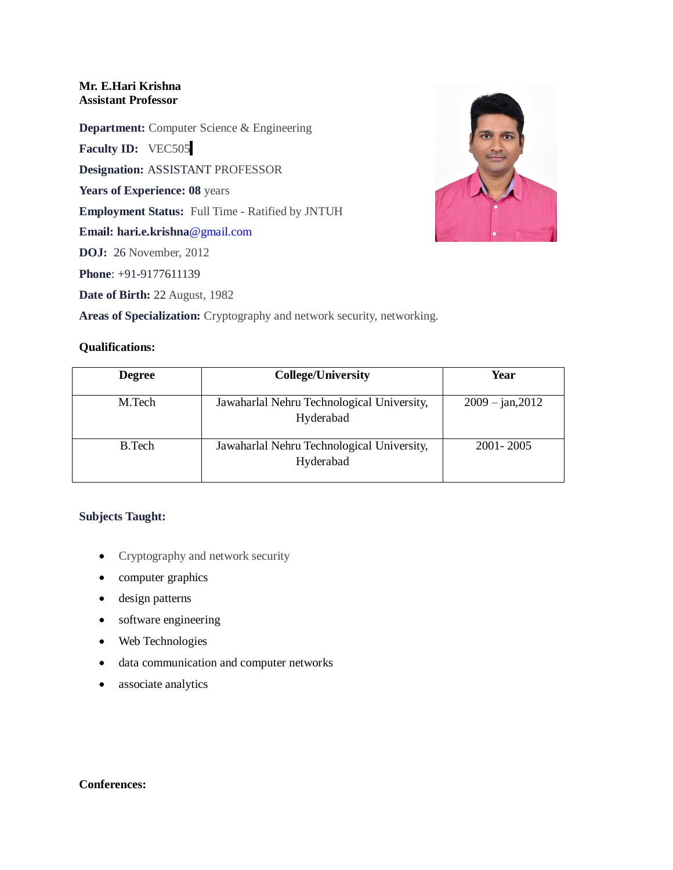### **Mr. E.Hari Krishna Assistant Professor**

**Department:** Computer Science & Engineering

**Faculty ID:** VEC505

**Designation:** ASSISTANT PROFESSOR

**Years of Experience: 08** years

**Employment Status:** Full Time - Ratified by JNTUH

**Email: hari.e.krishna**@gmail.com

**DOJ:** 26 November, 2012

**Phone**: +91-9177611139

**Date of Birth:** 22 August, 1982

**Areas of Specialization:** Cryptography and network security, networking.

# **Qualifications:**

| <b>Degree</b> | <b>College/University</b>                               | Year               |
|---------------|---------------------------------------------------------|--------------------|
| M.Tech        | Jawaharlal Nehru Technological University,<br>Hyderabad | $2009 - jan, 2012$ |
| <b>B.Tech</b> | Jawaharlal Nehru Technological University,<br>Hyderabad | 2001 - 2005        |

# **Subjects Taught:**

- Cryptography and network security
- computer graphics
- design patterns
- software engineering
- Web Technologies
- data communication and computer networks
- associate analytics

### **Conferences:**